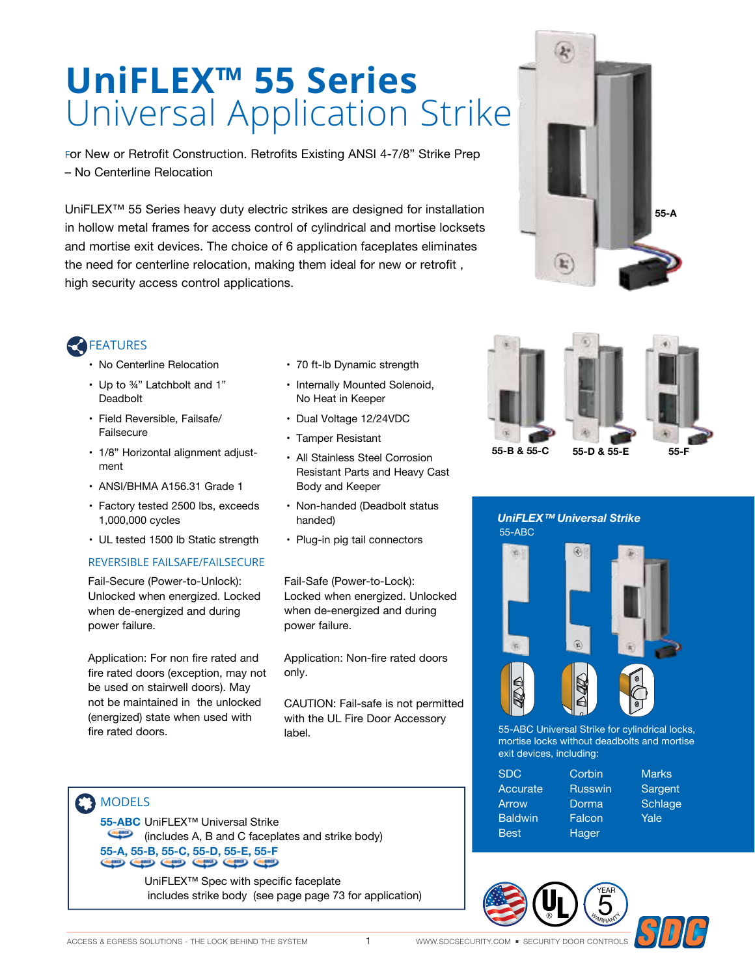# **UniFLEX™ 55 Series** Universal Application Strike

For New or Retrofit Construction. Retrofits Existing ANSI 4-7/8" Strike Prep – No Centerline Relocation

UniFLEX™ 55 Series heavy duty electric strikes are designed for installation in hollow metal frames for access control of cylindrical and mortise locksets and mortise exit devices. The choice of 6 application faceplates eliminates the need for centerline relocation, making them ideal for new or retrofit , high security access control applications.



# **FEATURES**

- No Centerline Relocation
- Up to ¾" Latchbolt and 1" Deadbolt
- Field Reversible, Failsafe/ Failsecure
- 1/8" Horizontal alignment adjustment
- ANSI/BHMA A156.31 Grade 1
- Factory tested 2500 lbs, exceeds 1,000,000 cycles
- UL tested 1500 lb Static strength

#### REVERSIBLE FAILSAFE/FAILSECURE

Fail-Secure (Power-to-Unlock): Unlocked when energized. Locked when de-energized and during power failure.

Application: For non fire rated and fire rated doors (exception, may not be used on stairwell doors). May not be maintained in the unlocked (energized) state when used with fire rated doors.

- 70 ft-lb Dynamic strength
- Internally Mounted Solenoid, No Heat in Keeper
- Dual Voltage 12/24VDC
- Tamper Resistant
- All Stainless Steel Corrosion Resistant Parts and Heavy Cast Body and Keeper
- Non-handed (Deadbolt status handed)
- Plug-in pig tail connectors

Fail-Safe (Power-to-Lock): Locked when energized. Unlocked when de-energized and during power failure.

Application: Non-fire rated doors only.

CAUTION: Fail-safe is not permitted with the UL Fire Door Accessory label.



**55-ABC** UniFLEX™ Universal Strike (includes A, B and C faceplates and strike body) **55-A, 55-B, 55-C, 55-D, 55-E, 55-F** 

> UniFLEX™ Spec with specific faceplate includes strike body (see page page 73 for application)









55-ABC Universal Strike for cylindrical locks, mortise locks without deadbolts and mortise exit devices, including:

| <b>SDC</b>     | Corbin         | <b>Marks</b> |
|----------------|----------------|--------------|
| Accurate       | <b>Russwin</b> | Sargent      |
| Arrow          | Dorma          | Schlage      |
| <b>Baldwin</b> | Falcon         | Yale         |
| <b>Best</b>    | Hager          |              |



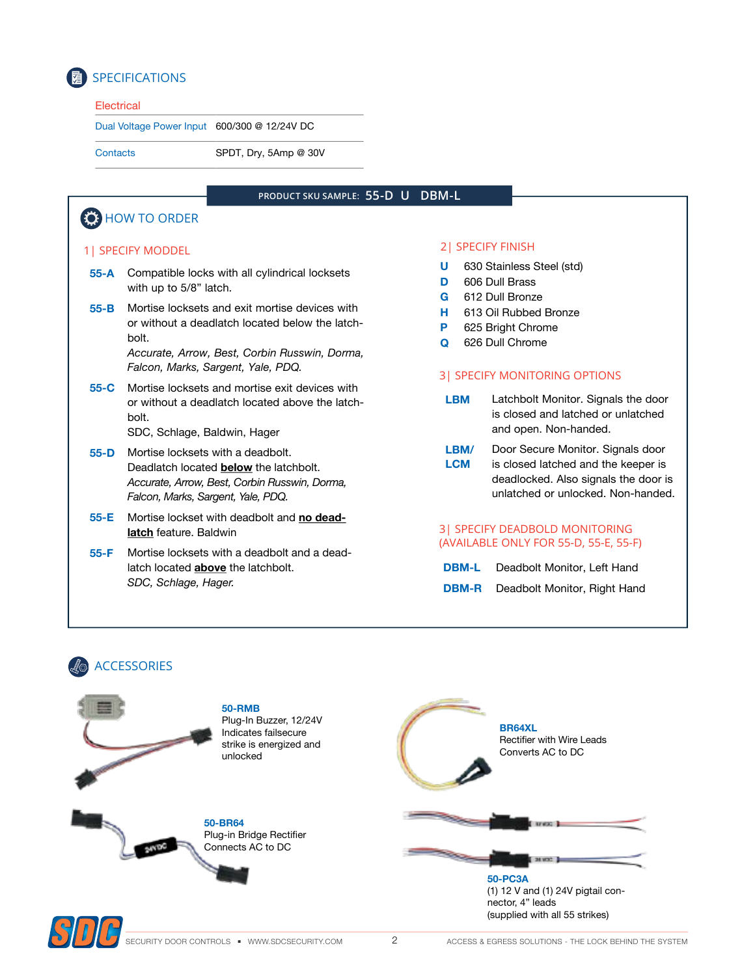

# SPECIFICATIONS

#### **Electrical**

Dual Voltage Power Input 600/300 @ 12/24V DC

Contacts SPDT, Dry, 5Amp @ 30V

#### **PRODUCT SKU SAMPLE: 55-D U DBM-L**

## **(6)** HOW TO ORDER

#### 1| SPECIFY MODDEL

- **55-A** Compatible locks with all cylindrical locksets with up to 5/8" latch.
- **55-B** Mortise locksets and exit mortise devices with or without a deadlatch located below the latchbolt.

*Accurate, Arrow, Best, Corbin Russwin, Dorma, Falcon, Marks, Sargent, Yale, PDQ.*

**55-C** Mortise locksets and mortise exit devices with or without a deadlatch located above the latchbolt.

SDC, Schlage, Baldwin, Hager

- **55-D** Mortise locksets with a deadbolt. Deadlatch located **below** the latchbolt. *Accurate, Arrow, Best, Corbin Russwin, Dorma, Falcon, Marks, Sargent, Yale, PDQ.*
- **55-E** Mortise lockset with deadbolt and **no deadlatch** feature. Baldwin
- **55-F** Mortise locksets with a deadbolt and a deadlatch located **above** the latchbolt. *SDC, Schlage, Hager.*

#### 2| SPECIFY FINISH

- **U** 630 Stainless Steel (std)
- **D** 606 Dull Brass
- **G** 612 Dull Bronze
- **H** 613 Oil Rubbed Bronze
- **P** 625 Bright Chrome
- **Q** 626 Dull Chrome

#### 3| SPECIFY MONITORING OPTIONS

- **LBM** Latchbolt Monitor. Signals the door is closed and latched or unlatched and open. Non-handed.
- **LBM/ LCM** Door Secure Monitor. Signals door is closed latched and the keeper is deadlocked. Also signals the door is unlatched or unlocked. Non-handed.

#### 3| SPECIFY DEADBOLD MONITORING (AVAILABLE ONLY FOR 55-D, 55-E, 55-F)

| <b>DBM-L</b> | Deadbolt Monitor, Left Hand  |
|--------------|------------------------------|
| <b>DBM-R</b> | Deadbolt Monitor, Right Hand |

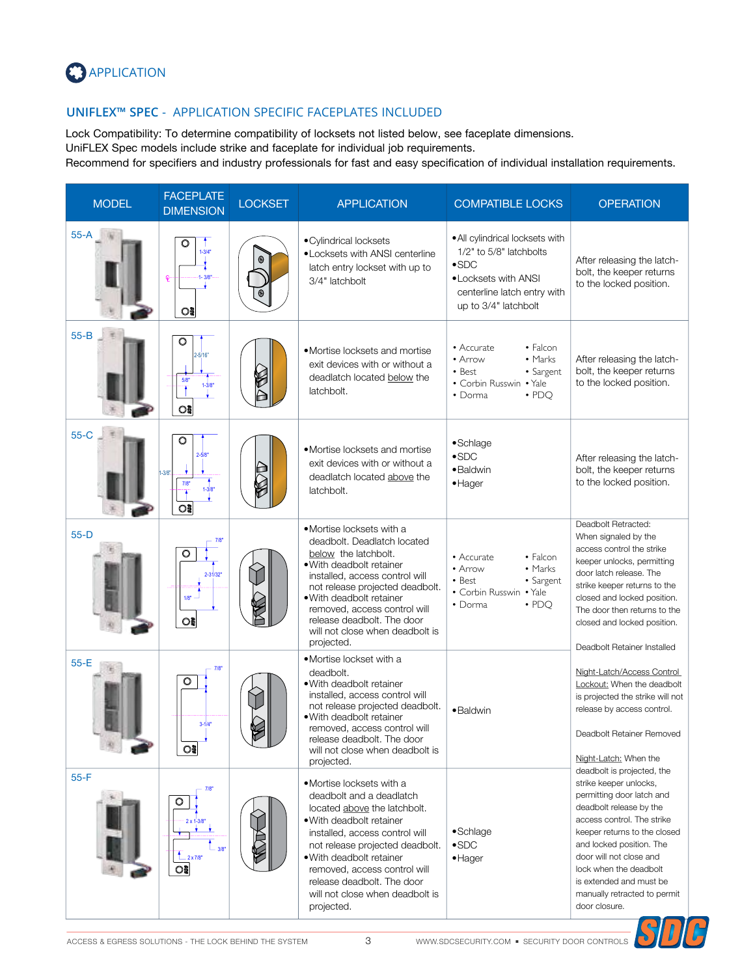

### **UNIFLEX™ SPEC** - APPLICATION SPECIFIC FACEPLATES INCLUDED

Lock Compatibility: To determine compatibility of locksets not listed below, see faceplate dimensions. UniFLEX Spec models include strike and faceplate for individual job requirements.

Recommend for specifiers and industry professionals for fast and easy specification of individual installation requirements.

| <b>MODEL</b> | <b>FACEPLATE</b><br><b>DIMENSION</b>                                       | <b>LOCKSET</b> | <b>APPLICATION</b>                                                                                                                                                                                                                                                                                                               | <b>COMPATIBLE LOCKS</b>                                                                                                                                    | <b>OPERATION</b>                                                                                                                                                                                                                                                                                                                        |
|--------------|----------------------------------------------------------------------------|----------------|----------------------------------------------------------------------------------------------------------------------------------------------------------------------------------------------------------------------------------------------------------------------------------------------------------------------------------|------------------------------------------------------------------------------------------------------------------------------------------------------------|-----------------------------------------------------------------------------------------------------------------------------------------------------------------------------------------------------------------------------------------------------------------------------------------------------------------------------------------|
| $55 - A$     | $\circ$<br>$1 - 3/4"$<br>$1 - 3/8"$<br>$\circ$                             |                | • Cylindrical locksets<br>• Locksets with ANSI centerline<br>latch entry lockset with up to<br>3/4" latchbolt                                                                                                                                                                                                                    | . All cylindrical locksets with<br>1/2" to 5/8" latchbolts<br>$\bullet$ SDC<br>• Locksets with ANSI<br>centerline latch entry with<br>up to 3/4" latchbolt | After releasing the latch-<br>bolt, the keeper returns<br>to the locked position.                                                                                                                                                                                                                                                       |
| $55 - B$     | $\circ$<br>$2 - 5/16$<br>5/8<br>$1 - 3/8$<br>ះ                             |                | • Mortise locksets and mortise<br>exit devices with or without a<br>deadlatch located below the<br>latchbolt.                                                                                                                                                                                                                    | • Accurate<br>• Falcon<br>• Arrow<br>• Marks<br>$\bullet$ Best<br>• Sargent<br>• Corbin Russwin • Yale<br>$\cdot$ PDO<br>$\bullet$ Dorma                   | After releasing the latch-<br>bolt, the keeper returns<br>to the locked position.                                                                                                                                                                                                                                                       |
| $55-C$       | $\circ$<br>$2 - 5/8$<br>$-3/8$ <sup>*</sup><br>7/8<br>$1 - 3/8$<br>$\circ$ |                | • Mortise locksets and mortise<br>exit devices with or without a<br>deadlatch located above the<br>latchbolt.                                                                                                                                                                                                                    | •Schlage<br>$\bullet$ SDC<br>• Baldwin<br>$\bullet$ Hager                                                                                                  | After releasing the latch-<br>bolt, the keeper returns<br>to the locked position.                                                                                                                                                                                                                                                       |
| $55-D$       | 7/8<br>2-31/32"<br>1/8"<br>$\circ$                                         |                | •Mortise locksets with a<br>deadbolt. Deadlatch located<br>below the latchbolt.<br>• With deadbolt retainer<br>installed, access control will<br>not release projected deadbolt.<br>• With deadbolt retainer<br>removed, access control will<br>release deadbolt. The door<br>will not close when deadbolt is<br>projected.      | • Falcon<br>• Accurate<br>• Marks<br>$\bullet$ Arrow<br>• Best<br>• Sargent<br>• Corbin Russwin • Yale<br>$\cdot$ PDO<br>• Dorma                           | Deadbolt Retracted:<br>When signaled by the<br>access control the strike<br>keeper unlocks, permitting<br>door latch release. The<br>strike keeper returns to the<br>closed and locked position.<br>The door then returns to the<br>closed and locked position.<br>Deadbolt Retainer Installed                                          |
| $55-E$       | 7/8<br>O<br>$3 - 1/4$<br>$\circ$                                           |                | • Mortise lockset with a<br>deadbolt.<br>· With deadbolt retainer<br>installed, access control will<br>not release projected deadbolt.<br>• With deadbolt retainer<br>removed, access control will<br>release deadbolt. The door<br>will not close when deadbolt is<br>projected.                                                | • Baldwin                                                                                                                                                  | Night-Latch/Access Control<br>Lockout: When the deadbolt<br>is projected the strike will not<br>release by access control.<br>Deadbolt Retainer Removed<br>Night-Latch: When the                                                                                                                                                        |
| $55-F$       | 7/8"<br>3/8"<br>$L_{2x7/8"}$<br>ះ                                          |                | •Mortise locksets with a<br>deadbolt and a deadlatch<br>located above the latchbolt.<br>• With deadbolt retainer<br>installed, access control will<br>not release projected deadbolt.<br>• With deadbolt retainer<br>removed, access control will<br>release deadbolt. The door<br>will not close when deadbolt is<br>projected. | ·Schlage<br>$\bullet$ SDC<br>$\bullet$ Hager                                                                                                               | deadbolt is projected, the<br>strike keeper unlocks,<br>permitting door latch and<br>deadbolt release by the<br>access control. The strike<br>keeper returns to the closed<br>and locked position. The<br>door will not close and<br>lock when the deadbolt<br>is extended and must be<br>manually retracted to permit<br>door closure. |